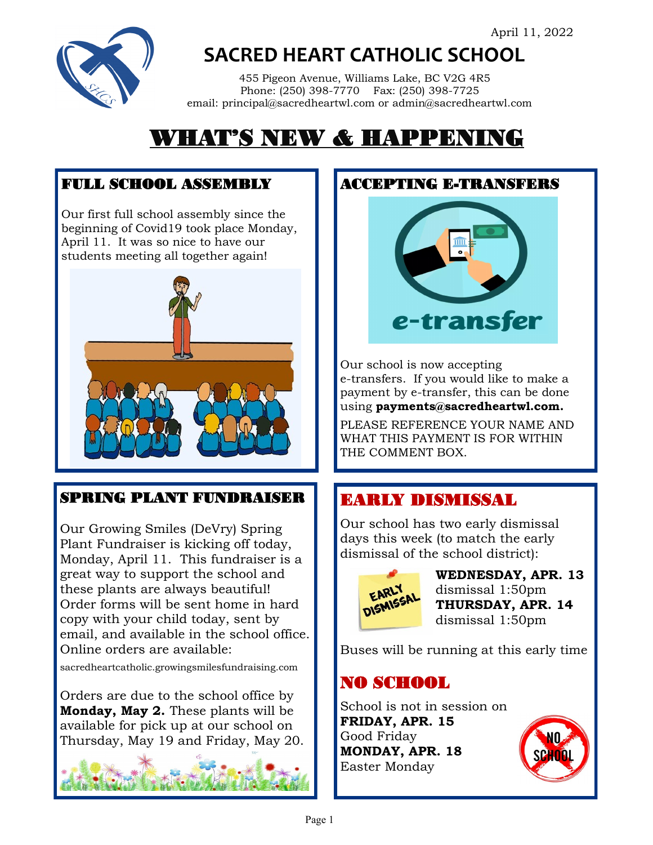

**SACRED HEART CATHOLIC SCHOOL**

 455 Pigeon Avenue, Williams Lake, BC V2G 4R5 Phone: (250) 398-7770 Fax: (250) 398-7725 email: principal@sacredheartwl.com or admin@sacredheartwl.com

# WHAT'S NEW & HAPPENING

#### FULL SCHOOL ASSEMBLY

Our first full school assembly since the beginning of Covid19 took place Monday, April 11. It was so nice to have our students meeting all together again!



### SPRING PLANT FUNDRAISER

Our Growing Smiles (DeVry) Spring Plant Fundraiser is kicking off today, Monday, April 11. This fundraiser is a great way to support the school and these plants are always beautiful! Order forms will be sent home in hard copy with your child today, sent by email, and available in the school office. Online orders are available:

sacredheartcatholic.growingsmilesfundraising.com

Orders are due to the school office by **Monday, May 2.** These plants will be available for pick up at our school on Thursday, May 19 and Friday, May 20.





Our school is now accepting e-transfers. If you would like to make a payment by e-transfer, this can be done using **payments@sacredheartwl.com.** 

PLEASE REFERENCE YOUR NAME AND WHAT THIS PAYMENT IS FOR WITHIN THE COMMENT BOX.

### EARLY DISMISSAL

Our school has two early dismissal days this week (to match the early dismissal of the school district):



**WEDNESDAY, APR. 13** dismissal 1:50pm **THURSDAY, APR. 14**  dismissal 1:50pm

Buses will be running at this early time

## NO SCHOOL

School is not in session on **FRIDAY, APR. 15** Good Friday **MONDAY, APR. 18** Easter Monday